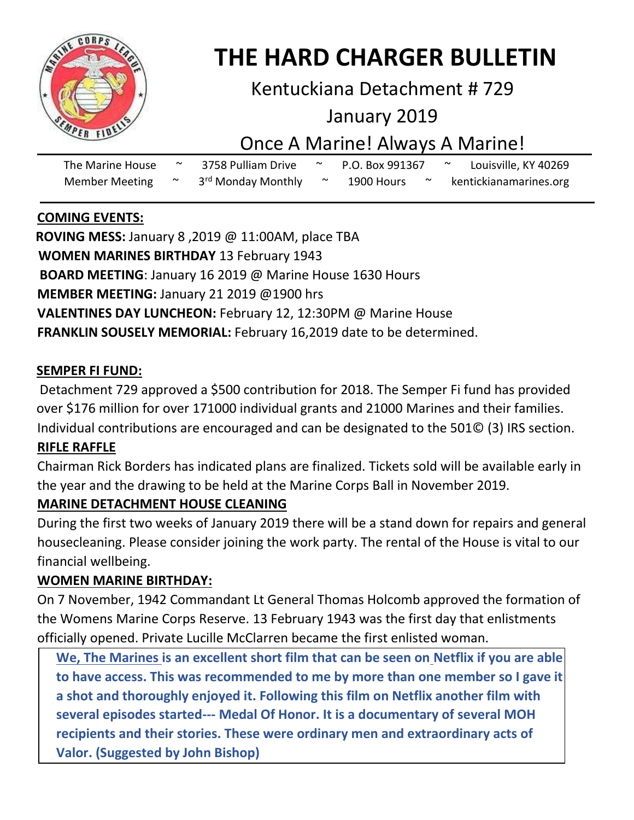

# **THE HARD CHARGER BULLETIN**

### Kentuckiana Detachment # 729

### January 2019

### Once A Marine! Always A Marine!

| The Marine House      |  | 3758 Pulliam Drive             | P.O. Box 991367 |  | Louisville, KY 40269   |  |
|-----------------------|--|--------------------------------|-----------------|--|------------------------|--|
| <b>Member Meeting</b> |  | 3 <sup>rd</sup> Monday Monthly | 1900 Hours      |  | kentickianamarines.org |  |

#### **COMING EVENTS:**

 **ROVING MESS:** January 8 ,2019 @ 11:00AM, place TBA **WOMEN MARINES BIRTHDAY** 13 February 1943 **BOARD MEETING**: January 16 2019 @ Marine House 1630 Hours **MEMBER MEETING:** January 21 2019 @1900 hrs **VALENTINES DAY LUNCHEON:** February 12, 12:30PM @ Marine House **FRANKLIN SOUSELY MEMORIAL:** February 16,2019 date to be determined.

#### **SEMPER FI FUND:**

Detachment 729 approved a \$500 contribution for 2018. The Semper Fi fund has provided over \$176 million for over 171000 individual grants and 21000 Marines and their families. Individual contributions are encouraged and can be designated to the 501© (3) IRS section.

#### **RIFLE RAFFLE**

Chairman Rick Borders has indicated plans are finalized. Tickets sold will be available early in the year and the drawing to be held at the Marine Corps Ball in November 2019.

#### **MARINE DETACHMENT HOUSE CLEANING**

During the first two weeks of January 2019 there will be a stand down for repairs and general housecleaning. Please consider joining the work party. The rental of the House is vital to our financial wellbeing.

#### **WOMEN MARINE BIRTHDAY:**

On 7 November, 1942 Commandant Lt General Thomas Holcomb approved the formation of the Womens Marine Corps Reserve. 13 February 1943 was the first day that enlistments officially opened. Private Lucille McClarren became the first enlisted woman.

**We, The Marines is an excellent short film that can be seen on Netflix if you are able to have access. This was recommended to me by more than one member so I gave it a shot and thoroughly enjoyed it. Following this film on Netflix another film with several episodes started--- Medal Of Honor. It is a documentary of several MOH recipients and their stories. These were ordinary men and extraordinary acts of Valor. (Suggested by John Bishop)**